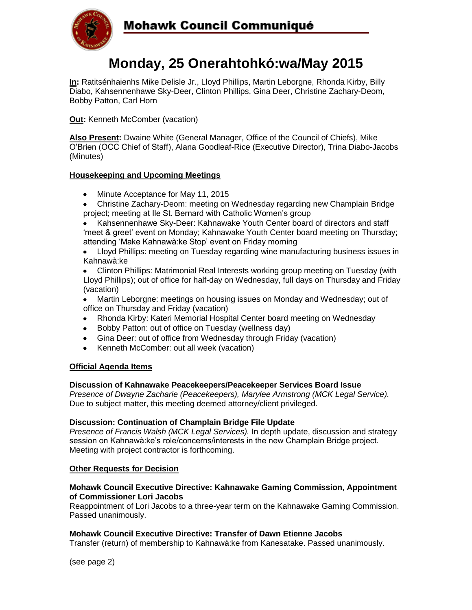

# **Mohawk Council Communiqué**

# **Monday, 25 Onerahtohkó:wa/May 2015**

**In:** Ratitsénhaienhs Mike Delisle Jr., Lloyd Phillips, Martin Leborgne, Rhonda Kirby, Billy Diabo, Kahsennenhawe Sky-Deer, Clinton Phillips, Gina Deer, Christine Zachary-Deom, Bobby Patton, Carl Horn

**Out: Kenneth McComber (vacation)** 

**Also Present:** Dwaine White (General Manager, Office of the Council of Chiefs), Mike O'Brien (OCC Chief of Staff), Alana Goodleaf-Rice (Executive Director), Trina Diabo-Jacobs (Minutes)

## **Housekeeping and Upcoming Meetings**

- Minute Acceptance for May 11, 2015
- Christine Zachary-Deom: meeting on Wednesday regarding new Champlain Bridge project; meeting at Ile St. Bernard with Catholic Women's group
- Kahsennenhawe Sky-Deer: Kahnawake Youth Center board of directors and staff 'meet & greet' event on Monday; Kahnawake Youth Center board meeting on Thursday; attending 'Make Kahnawà:ke Stop' event on Friday morning
- Lloyd Phillips: meeting on Tuesday regarding wine manufacturing business issues in  $\bullet$ Kahnawà:ke

Clinton Phillips: Matrimonial Real Interests working group meeting on Tuesday (with Lloyd Phillips); out of office for half-day on Wednesday, full days on Thursday and Friday (vacation)

- Martin Leborgne: meetings on housing issues on Monday and Wednesday; out of office on Thursday and Friday (vacation)
- Rhonda Kirby: Kateri Memorial Hospital Center board meeting on Wednesday
- Bobby Patton: out of office on Tuesday (wellness day)
- Gina Deer: out of office from Wednesday through Friday (vacation)
- Kenneth McComber: out all week (vacation)

#### **Official Agenda Items**

#### **Discussion of Kahnawake Peacekeepers/Peacekeeper Services Board Issue**

*Presence of Dwayne Zacharie (Peacekeepers), Marylee Armstrong (MCK Legal Service).*  Due to subject matter, this meeting deemed attorney/client privileged.

#### **Discussion: Continuation of Champlain Bridge File Update**

*Presence of Francis Walsh (MCK Legal Services).* In depth update, discussion and strategy session on Kahnawà:ke's role/concerns/interests in the new Champlain Bridge project. Meeting with project contractor is forthcoming.

#### **Other Requests for Decision**

#### **Mohawk Council Executive Directive: Kahnawake Gaming Commission, Appointment of Commissioner Lori Jacobs**

Reappointment of Lori Jacobs to a three-year term on the Kahnawake Gaming Commission. Passed unanimously.

#### **Mohawk Council Executive Directive: Transfer of Dawn Etienne Jacobs**

Transfer (return) of membership to Kahnawà:ke from Kanesatake. Passed unanimously.

(see page 2)